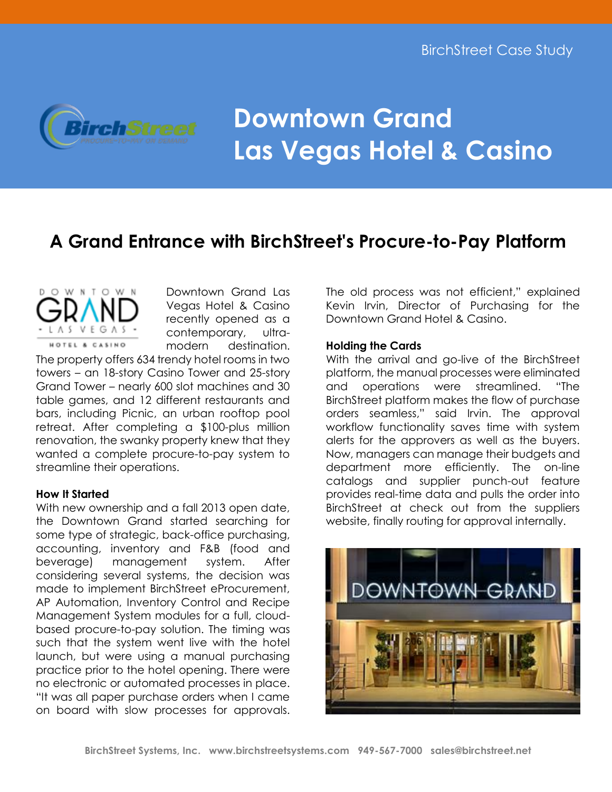

# **Downtown Grand Las Vegas Hotel & Casino**

## **A Grand Entrance with BirchStreet's Procure-to-Pay Platform**

W N T O W N HOTEL & CASINO

Downtown Grand Las Vegas Hotel & Casino recently opened as a contemporary, ultramodern destination.

The property offers 634 trendy hotel rooms in two towers – an 18-story Casino Tower and 25-story Grand Tower – nearly 600 slot machines and 30 table games, and 12 different restaurants and bars, including Picnic, an urban rooftop pool retreat. After completing a \$100-plus million renovation, the swanky property knew that they wanted a complete procure-to-pay system to streamline their operations.

### **How It Started**

With new ownership and a fall 2013 open date, the Downtown Grand started searching for some type of strategic, back-office purchasing, accounting, inventory and F&B (food and beverage) management system. After considering several systems, the decision was made to implement BirchStreet eProcurement, AP Automation, Inventory Control and Recipe Management System modules for a full, cloudbased procure-to-pay solution. The timing was such that the system went live with the hotel launch, but were using a manual purchasing practice prior to the hotel opening. There were no electronic or automated processes in place. "It was all paper purchase orders when I came on board with slow processes for approvals.

The old process was not efficient," explained Kevin Irvin, Director of Purchasing for the Downtown Grand Hotel & Casino.

#### **Holding the Cards**

With the arrival and go-live of the BirchStreet platform, the manual processes were eliminated and operations were streamlined. "The BirchStreet platform makes the flow of purchase orders seamless," said Irvin. The approval workflow functionality saves time with system alerts for the approvers as well as the buyers. Now, managers can manage their budgets and department more efficiently. The on-line catalogs and supplier punch-out feature provides real-time data and pulls the order into BirchStreet at check out from the suppliers website, finally routing for approval internally.